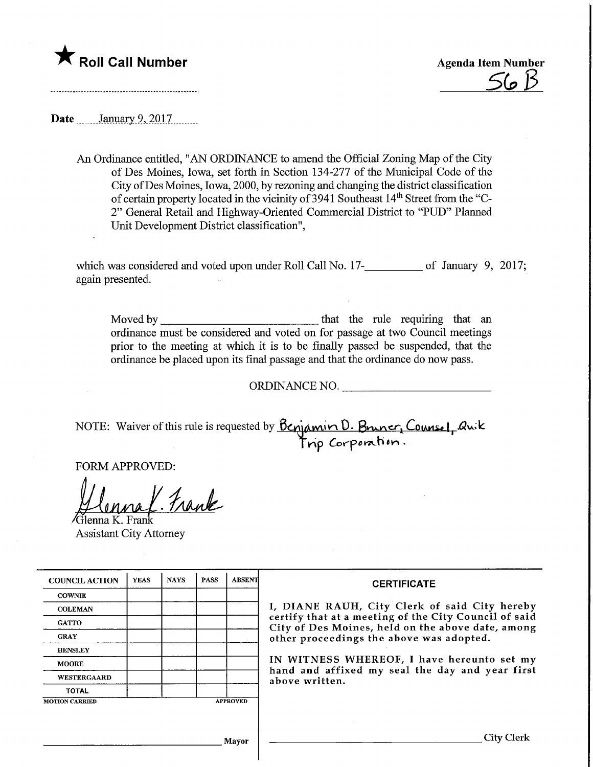



**Date** January 9, 2017

An Ordinance entitled, "AN ORDINANCE to amend the Official Zoning Map of the City of Des Moines, Iowa, set forth in Section 134-277 of the Municipal Code of the City of Des Moines, Iowa, 2000, by rezoning and changing the district classification of certain property located in the vicinity of 3941 Southeast 14th Street from the "C-2" General Retail and Highway-Oriented Commercial District to "PUD" Planned Unit Development District classification",

which was considered and voted upon under Roll Call No. 17-<br>
let  $\frac{1}{2}$  of January 9, 2017; again presented.

Moved by that the rule requiring that an ordinance must be considered and voted on for passage at two Council meetings prior to the meeting at which it is to be finally passed be suspended, that the ordinance be placed upon its final passage and that the ordinance do now pass.

ORDINANCE NO.

NOTE: Waiver of this rule is requested by  $D\mathcal{L}$   $\mathcal{L}$   $\mathcal{L}$   $\mathcal{L}$   $\mathcal{L}$   $\mathcal{L}$   $\mathcal{L}$   $\mathcal{L}$   $\mathcal{L}$   $\mathcal{L}$   $\mathcal{L}$   $\mathcal{L}$   $\mathcal{L}$   $\mathcal{L}$   $\mathcal{L}$   $\mathcal{L}$   $\mathcal{L}$   $\mathcal{L}$   $\mathcal{L}$   $\mathcal{L}$ Corporation.

FORM APPROVED:

Frank

Jlenna K. Frank Assistant City Attorney

| <b>COUNCIL ACTION</b> | <b>YEAS</b> | <b>NAYS</b> | <b>PASS</b> | <b>ABSENT</b>   | <b>CERTIFICATE</b><br>I, DIANE RAUH, City Clerk of said City hereby<br>certify that at a meeting of the City Council of said<br>City of Des Moines, held on the above date, among<br>other proceedings the above was adopted.<br>IN WITNESS WHEREOF, I have hereunto set my<br>hand and affixed my seal the day and year first<br>above written. |
|-----------------------|-------------|-------------|-------------|-----------------|--------------------------------------------------------------------------------------------------------------------------------------------------------------------------------------------------------------------------------------------------------------------------------------------------------------------------------------------------|
| <b>COWNIE</b>         |             |             |             |                 |                                                                                                                                                                                                                                                                                                                                                  |
| <b>COLEMAN</b>        |             |             |             |                 |                                                                                                                                                                                                                                                                                                                                                  |
| <b>GATTO</b>          |             |             |             |                 |                                                                                                                                                                                                                                                                                                                                                  |
| <b>GRAY</b>           |             |             |             |                 |                                                                                                                                                                                                                                                                                                                                                  |
| <b>HENSLEY</b>        |             |             |             |                 |                                                                                                                                                                                                                                                                                                                                                  |
| <b>MOORE</b>          |             |             |             |                 |                                                                                                                                                                                                                                                                                                                                                  |
| WESTERGAARD           |             |             |             |                 |                                                                                                                                                                                                                                                                                                                                                  |
| <b>TOTAL</b>          |             |             |             |                 |                                                                                                                                                                                                                                                                                                                                                  |
| <b>MOTION CARRIED</b> |             |             |             | <b>APPROVED</b> |                                                                                                                                                                                                                                                                                                                                                  |
|                       |             |             |             |                 |                                                                                                                                                                                                                                                                                                                                                  |
| Mayor                 |             |             |             |                 | City C                                                                                                                                                                                                                                                                                                                                           |